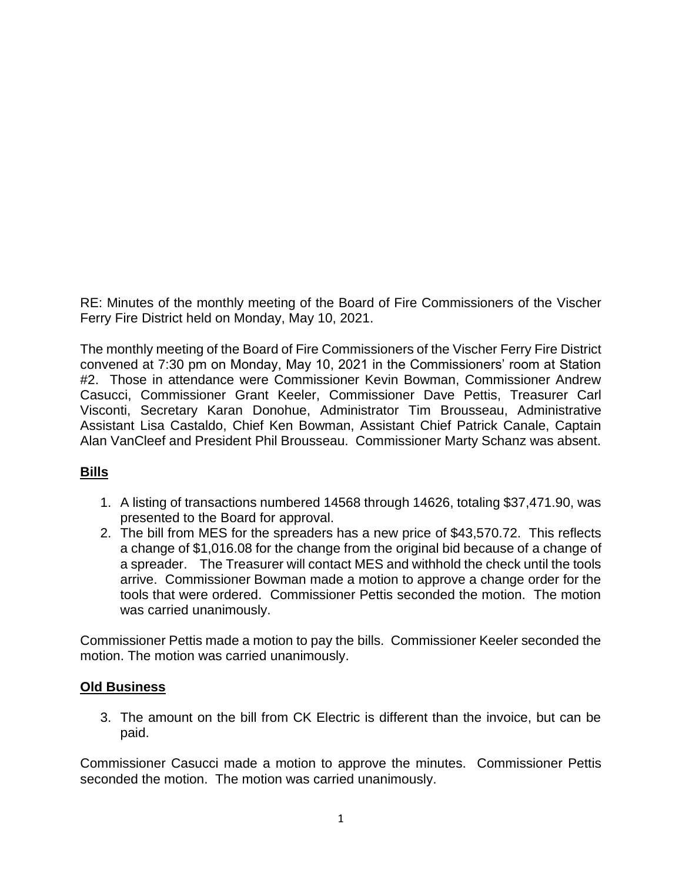RE: Minutes of the monthly meeting of the Board of Fire Commissioners of the Vischer Ferry Fire District held on Monday, May 10, 2021.

The monthly meeting of the Board of Fire Commissioners of the Vischer Ferry Fire District convened at 7:30 pm on Monday, May 10, 2021 in the Commissioners' room at Station #2. Those in attendance were Commissioner Kevin Bowman, Commissioner Andrew Casucci, Commissioner Grant Keeler, Commissioner Dave Pettis, Treasurer Carl Visconti, Secretary Karan Donohue, Administrator Tim Brousseau, Administrative Assistant Lisa Castaldo, Chief Ken Bowman, Assistant Chief Patrick Canale, Captain Alan VanCleef and President Phil Brousseau. Commissioner Marty Schanz was absent.

# **Bills**

- 1. A listing of transactions numbered 14568 through 14626, totaling \$37,471.90, was presented to the Board for approval.
- 2. The bill from MES for the spreaders has a new price of \$43,570.72. This reflects a change of \$1,016.08 for the change from the original bid because of a change of a spreader. The Treasurer will contact MES and withhold the check until the tools arrive. Commissioner Bowman made a motion to approve a change order for the tools that were ordered. Commissioner Pettis seconded the motion. The motion was carried unanimously.

Commissioner Pettis made a motion to pay the bills. Commissioner Keeler seconded the motion. The motion was carried unanimously.

## **Old Business**

3. The amount on the bill from CK Electric is different than the invoice, but can be paid.

Commissioner Casucci made a motion to approve the minutes. Commissioner Pettis seconded the motion. The motion was carried unanimously.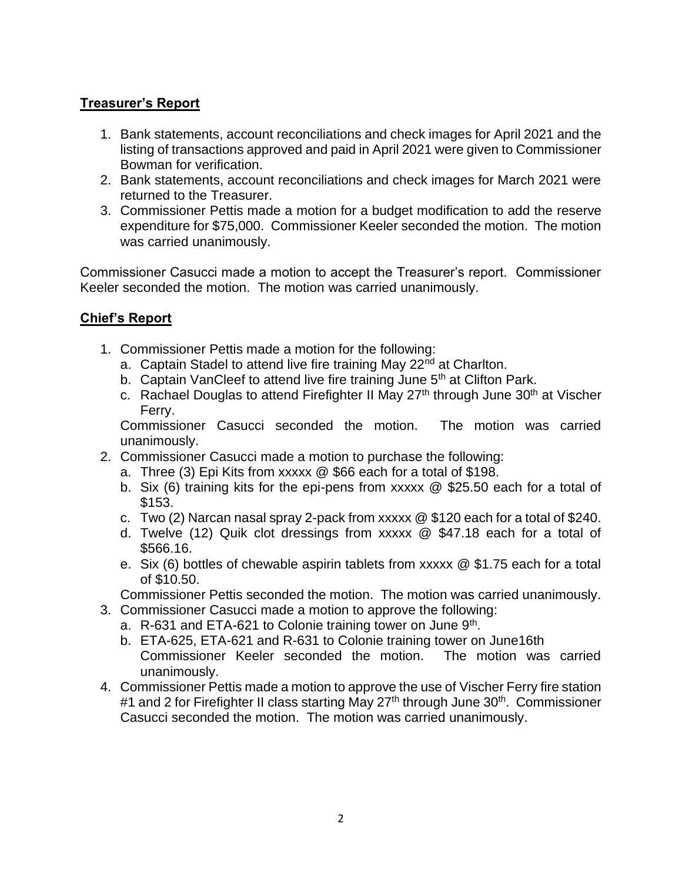# **Treasurer's Report**

- 1. Bank statements, account reconciliations and check images for April 2021 and the listing of transactions approved and paid in April 2021 were given to Commissioner Bowman for verification.
- 2. Bank statements, account reconciliations and check images for March 2021 were returned to the Treasurer.
- 3. Commissioner Pettis made a motion for a budget modification to add the reserve expenditure for \$75,000. Commissioner Keeler seconded the motion. The motion was carried unanimously.

Commissioner Casucci made a motion to accept the Treasurer's report. Commissioner Keeler seconded the motion. The motion was carried unanimously.

## **Chief's Report**

- 1. Commissioner Pettis made a motion for the following:
	- a. Captain Stadel to attend live fire training May 22<sup>nd</sup> at Charlton.
	- b. Captain VanCleef to attend live fire training June  $5<sup>th</sup>$  at Clifton Park.
	- c. Rachael Douglas to attend Firefighter II May  $27<sup>th</sup>$  through June  $30<sup>th</sup>$  at Vischer Ferry.

Commissioner Casucci seconded the motion. The motion was carried unanimously.

- 2. Commissioner Casucci made a motion to purchase the following:
	- a. Three (3) Epi Kits from xxxxx @ \$66 each for a total of \$198.
	- b. Six (6) training kits for the epi-pens from xxxxx @ \$25.50 each for a total of \$153.
	- c. Two (2) Narcan nasal spray 2-pack from xxxxx @ \$120 each for a total of \$240.
	- d. Twelve (12) Quik clot dressings from xxxxx @ \$47.18 each for a total of \$566.16.
	- e. Six (6) bottles of chewable aspirin tablets from xxxxx @ \$1.75 each for a total of \$10.50.

Commissioner Pettis seconded the motion. The motion was carried unanimously.

- 3. Commissioner Casucci made a motion to approve the following:
	- a. R-631 and ETA-621 to Colonie training tower on June 9<sup>th</sup>.
	- b. ETA-625, ETA-621 and R-631 to Colonie training tower on June16th Commissioner Keeler seconded the motion. The motion was carried unanimously.
- 4. Commissioner Pettis made a motion to approve the use of Vischer Ferry fire station #1 and 2 for Firefighter II class starting May 27<sup>th</sup> through June 30<sup>th</sup>. Commissioner Casucci seconded the motion. The motion was carried unanimously.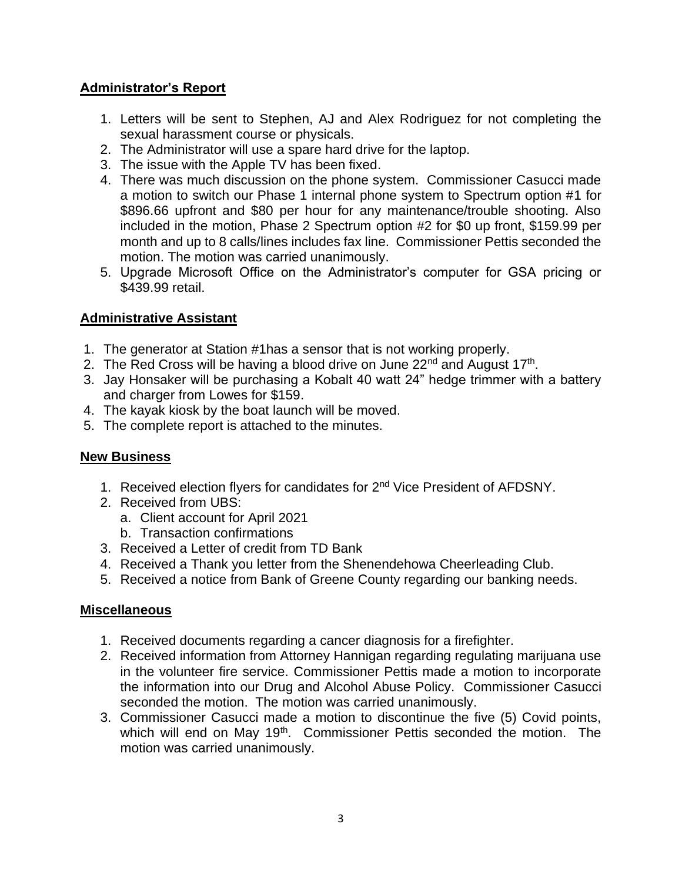## **Administrator's Report**

- 1. Letters will be sent to Stephen, AJ and Alex Rodriguez for not completing the sexual harassment course or physicals.
- 2. The Administrator will use a spare hard drive for the laptop.
- 3. The issue with the Apple TV has been fixed.
- 4. There was much discussion on the phone system. Commissioner Casucci made a motion to switch our Phase 1 internal phone system to Spectrum option #1 for \$896.66 upfront and \$80 per hour for any maintenance/trouble shooting. Also included in the motion, Phase 2 Spectrum option #2 for \$0 up front, \$159.99 per month and up to 8 calls/lines includes fax line. Commissioner Pettis seconded the motion. The motion was carried unanimously.
- 5. Upgrade Microsoft Office on the Administrator's computer for GSA pricing or \$439.99 retail.

#### **Administrative Assistant**

- 1. The generator at Station #1has a sensor that is not working properly.
- 2. The Red Cross will be having a blood drive on June 22<sup>nd</sup> and August 17<sup>th</sup>.
- 3. Jay Honsaker will be purchasing a Kobalt 40 watt 24" hedge trimmer with a battery and charger from Lowes for \$159.
- 4. The kayak kiosk by the boat launch will be moved.
- 5. The complete report is attached to the minutes.

#### **New Business**

- 1. Received election flyers for candidates for 2nd Vice President of AFDSNY.
- 2. Received from UBS:
	- a. Client account for April 2021
	- b. Transaction confirmations
- 3. Received a Letter of credit from TD Bank
- 4. Received a Thank you letter from the Shenendehowa Cheerleading Club.
- 5. Received a notice from Bank of Greene County regarding our banking needs.

#### **Miscellaneous**

- 1. Received documents regarding a cancer diagnosis for a firefighter.
- 2. Received information from Attorney Hannigan regarding regulating marijuana use in the volunteer fire service. Commissioner Pettis made a motion to incorporate the information into our Drug and Alcohol Abuse Policy. Commissioner Casucci seconded the motion. The motion was carried unanimously.
- 3. Commissioner Casucci made a motion to discontinue the five (5) Covid points, which will end on May 19<sup>th</sup>. Commissioner Pettis seconded the motion. The motion was carried unanimously.